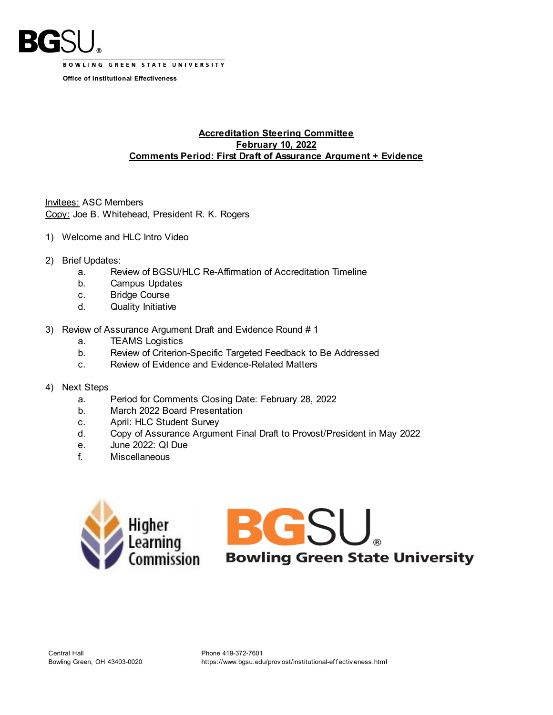

**BOWLING GREEN STATE UNIVERSITY** 

**Office of Institutional Effectiveness**

## **Accreditation Steering Committee February 10, 2022 Comments Period: First Draft of Assurance Argument + Evidence**

Invitees: ASC Members Copy: Joe B. Whitehead, President R. K. Rogers

- 1) Welcome and HLC Intro Video
- 2) Brief Updates:
	- a. Review of BGSU/HLC Re-Affirmation of Accreditation Timeline
	- b. Campus Updates
	- c. Bridge Course
	- d. Quality Initiative
- 3) Review of Assurance Argument Draft and Evidence Round # 1
	- a. TEAMS Logistics
	- b. Review of Criterion-Specific Targeted Feedback to Be Addressed
	- c. Review of Evidence and Evidence-Related Matters
- 4) Next Steps
	- a. Period for Comments Closing Date: February 28, 2022
	- b. March 2022 Board Presentation
	- c. April: HLC Student Survey
	- d. Copy of Assurance Argument Final Draft to Provost/President in May 2022
	- e. June 2022: QI Due
	- f. Miscellaneous